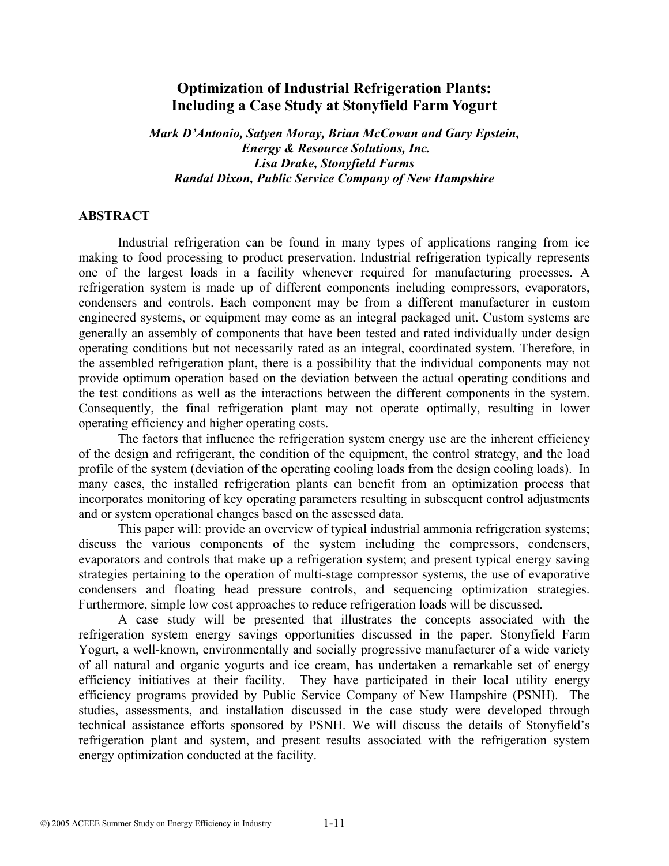# **Optimization of Industrial Refrigeration Plants: Including a Case Study at Stonyfield Farm Yogurt**

*Mark D'Antonio, Satyen Moray, Brian McCowan and Gary Epstein, Energy & Resource Solutions, Inc. Lisa Drake, Stonyfield Farms Randal Dixon, Public Service Company of New Hampshire* 

#### **ABSTRACT**

Industrial refrigeration can be found in many types of applications ranging from ice making to food processing to product preservation. Industrial refrigeration typically represents one of the largest loads in a facility whenever required for manufacturing processes. A refrigeration system is made up of different components including compressors, evaporators, condensers and controls. Each component may be from a different manufacturer in custom engineered systems, or equipment may come as an integral packaged unit. Custom systems are generally an assembly of components that have been tested and rated individually under design operating conditions but not necessarily rated as an integral, coordinated system. Therefore, in the assembled refrigeration plant, there is a possibility that the individual components may not provide optimum operation based on the deviation between the actual operating conditions and the test conditions as well as the interactions between the different components in the system. Consequently, the final refrigeration plant may not operate optimally, resulting in lower operating efficiency and higher operating costs.

The factors that influence the refrigeration system energy use are the inherent efficiency of the design and refrigerant, the condition of the equipment, the control strategy, and the load profile of the system (deviation of the operating cooling loads from the design cooling loads). In many cases, the installed refrigeration plants can benefit from an optimization process that incorporates monitoring of key operating parameters resulting in subsequent control adjustments and or system operational changes based on the assessed data.

This paper will: provide an overview of typical industrial ammonia refrigeration systems; discuss the various components of the system including the compressors, condensers, evaporators and controls that make up a refrigeration system; and present typical energy saving strategies pertaining to the operation of multi-stage compressor systems, the use of evaporative condensers and floating head pressure controls, and sequencing optimization strategies. Furthermore, simple low cost approaches to reduce refrigeration loads will be discussed.

A case study will be presented that illustrates the concepts associated with the refrigeration system energy savings opportunities discussed in the paper. Stonyfield Farm Yogurt, a well-known, environmentally and socially progressive manufacturer of a wide variety of all natural and organic yogurts and ice cream, has undertaken a remarkable set of energy efficiency initiatives at their facility. They have participated in their local utility energy efficiency programs provided by Public Service Company of New Hampshire (PSNH). The studies, assessments, and installation discussed in the case study were developed through technical assistance efforts sponsored by PSNH. We will discuss the details of Stonyfield's refrigeration plant and system, and present results associated with the refrigeration system energy optimization conducted at the facility.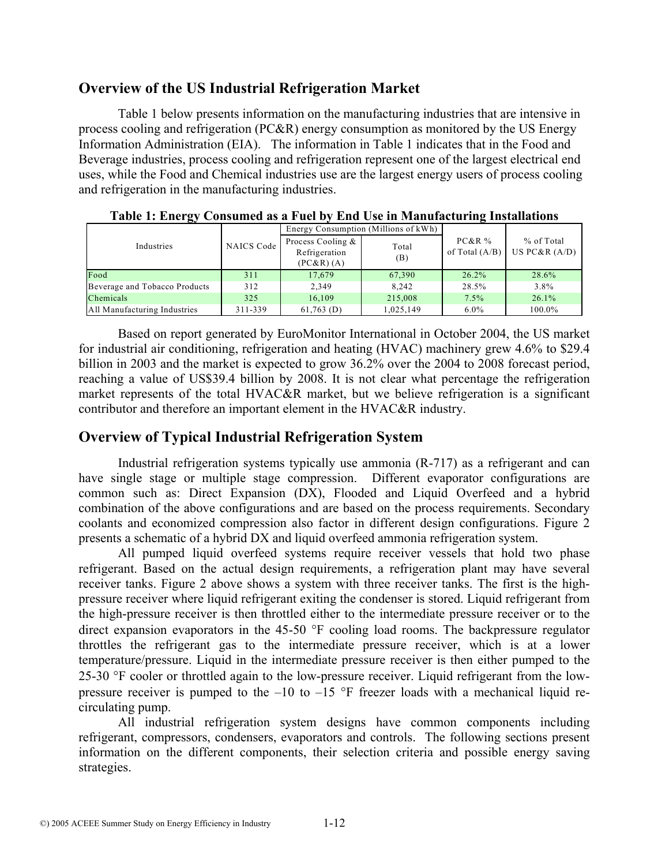# **Overview of the US Industrial Refrigeration Market**

Table 1 below presents information on the manufacturing industries that are intensive in process cooling and refrigeration (PC&R) energy consumption as monitored by the US Energy Information Administration (EIA). The information in Table 1 indicates that in the Food and Beverage industries, process cooling and refrigeration represent one of the largest electrical end uses, while the Food and Chemical industries use are the largest energy users of process cooling and refrigeration in the manufacturing industries.

| $\tilde{}$                    |            |                                                 |              |                              |                               |
|-------------------------------|------------|-------------------------------------------------|--------------|------------------------------|-------------------------------|
|                               |            | Energy Consumption (Millions of kWh)            |              |                              |                               |
| Industries                    | NAICS Code | Process Cooling &<br>Refrigeration<br>(PC&R)(A) | Total<br>(B) | $PC&R\%$<br>of Total $(A/B)$ | % of Total<br>US PC&R $(A/D)$ |
| Food                          | 311        | 17,679                                          | 67,390       | $26.2\%$                     | 28.6%                         |
| Beverage and Tobacco Products | 312        | 2.349                                           | 8.242        | 28.5%                        | 3.8%                          |
| Chemicals                     | 325        | 16,109                                          | 215,008      | 7.5%                         | 26.1%                         |
| All Manufacturing Industries  | 311-339    | $61,763$ (D)                                    | 1.025.149    | $6.0\%$                      | 100.0%                        |

**Table 1: Energy Consumed as a Fuel by End Use in Manufacturing Installations** 

Based on report generated by EuroMonitor International in October 2004, the US market for industrial air conditioning, refrigeration and heating (HVAC) machinery grew 4.6% to \$29.4 billion in 2003 and the market is expected to grow 36.2% over the 2004 to 2008 forecast period, reaching a value of US\$39.4 billion by 2008. It is not clear what percentage the refrigeration market represents of the total HVAC&R market, but we believe refrigeration is a significant contributor and therefore an important element in the HVAC&R industry.

# **Overview of Typical Industrial Refrigeration System**

Industrial refrigeration systems typically use ammonia (R-717) as a refrigerant and can have single stage or multiple stage compression. Different evaporator configurations are common such as: Direct Expansion (DX), Flooded and Liquid Overfeed and a hybrid combination of the above configurations and are based on the process requirements. Secondary coolants and economized compression also factor in different design configurations. Figure 2 presents a schematic of a hybrid DX and liquid overfeed ammonia refrigeration system.

All pumped liquid overfeed systems require receiver vessels that hold two phase refrigerant. Based on the actual design requirements, a refrigeration plant may have several receiver tanks. Figure 2 above shows a system with three receiver tanks. The first is the highpressure receiver where liquid refrigerant exiting the condenser is stored. Liquid refrigerant from the high-pressure receiver is then throttled either to the intermediate pressure receiver or to the direct expansion evaporators in the 45-50 °F cooling load rooms. The backpressure regulator throttles the refrigerant gas to the intermediate pressure receiver, which is at a lower temperature/pressure. Liquid in the intermediate pressure receiver is then either pumped to the 25-30 °F cooler or throttled again to the low-pressure receiver. Liquid refrigerant from the lowpressure receiver is pumped to the  $-10$  to  $-15$  °F freezer loads with a mechanical liquid recirculating pump.

All industrial refrigeration system designs have common components including refrigerant, compressors, condensers, evaporators and controls. The following sections present information on the different components, their selection criteria and possible energy saving strategies.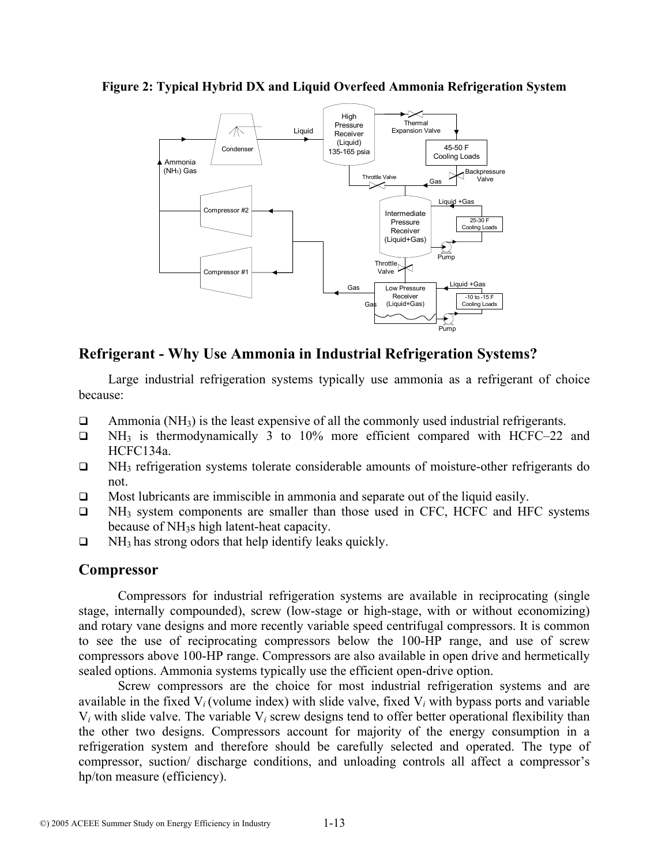**Figure 2: Typical Hybrid DX and Liquid Overfeed Ammonia Refrigeration System** 



# **Refrigerant - Why Use Ammonia in Industrial Refrigeration Systems?**

Large industrial refrigeration systems typically use ammonia as a refrigerant of choice because:

- $\Box$  Ammonia (NH<sub>3</sub>) is the least expensive of all the commonly used industrial refrigerants.
- $\Box$  NH<sub>3</sub> is thermodynamically 3 to 10% more efficient compared with HCFC–22 and HCFC134a.
- $\Box$  NH<sub>3</sub> refrigeration systems tolerate considerable amounts of moisture-other refrigerants do not.
- $\Box$  Most lubricants are immiscible in ammonia and separate out of the liquid easily.
- $\Box$  NH<sub>3</sub> system components are smaller than those used in CFC, HCFC and HFC systems because of NH3s high latent-heat capacity.
- $\Box$  NH<sub>3</sub> has strong odors that help identify leaks quickly.

# **Compressor**

Compressors for industrial refrigeration systems are available in reciprocating (single stage, internally compounded), screw (low-stage or high-stage, with or without economizing) and rotary vane designs and more recently variable speed centrifugal compressors. It is common to see the use of reciprocating compressors below the 100-HP range, and use of screw compressors above 100-HP range. Compressors are also available in open drive and hermetically sealed options. Ammonia systems typically use the efficient open-drive option.

Screw compressors are the choice for most industrial refrigeration systems and are available in the fixed  $V_i$  (volume index) with slide valve, fixed  $V_i$  with bypass ports and variable V*i* with slide valve. The variable V*i* screw designs tend to offer better operational flexibility than the other two designs. Compressors account for majority of the energy consumption in a refrigeration system and therefore should be carefully selected and operated. The type of compressor, suction/ discharge conditions, and unloading controls all affect a compressor's hp/ton measure (efficiency).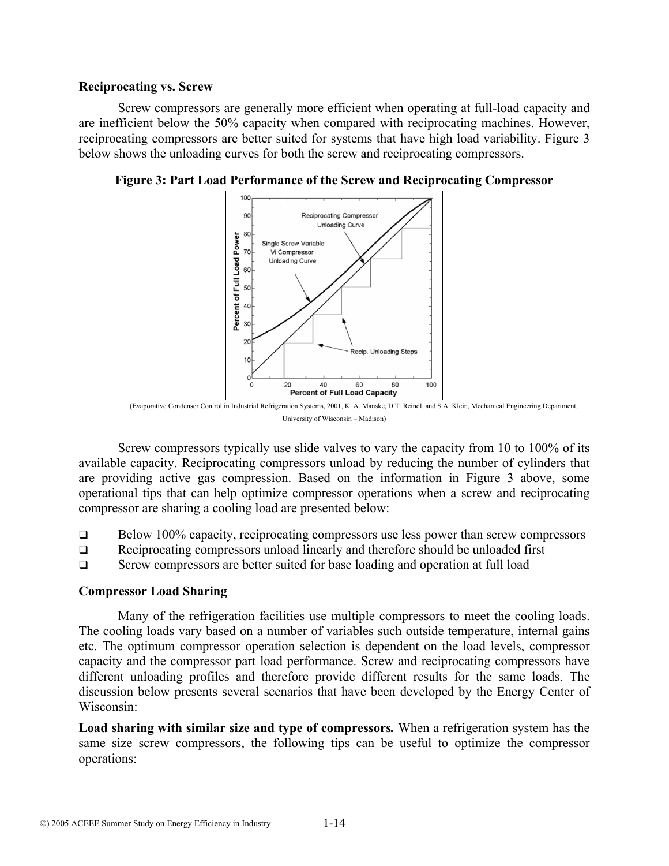#### **Reciprocating vs. Screw**

Screw compressors are generally more efficient when operating at full-load capacity and are inefficient below the 50% capacity when compared with reciprocating machines. However, reciprocating compressors are better suited for systems that have high load variability. Figure 3 below shows the unloading curves for both the screw and reciprocating compressors.



**Figure 3: Part Load Performance of the Screw and Reciprocating Compressor** 

Screw compressors typically use slide valves to vary the capacity from 10 to 100% of its available capacity. Reciprocating compressors unload by reducing the number of cylinders that are providing active gas compression. Based on the information in Figure 3 above, some operational tips that can help optimize compressor operations when a screw and reciprocating compressor are sharing a cooling load are presented below:

- $\Box$  Below 100% capacity, reciprocating compressors use less power than screw compressors
- $\Box$  Reciprocating compressors unload linearly and therefore should be unloaded first
- □ Screw compressors are better suited for base loading and operation at full load

### **Compressor Load Sharing**

Many of the refrigeration facilities use multiple compressors to meet the cooling loads. The cooling loads vary based on a number of variables such outside temperature, internal gains etc. The optimum compressor operation selection is dependent on the load levels, compressor capacity and the compressor part load performance. Screw and reciprocating compressors have different unloading profiles and therefore provide different results for the same loads. The discussion below presents several scenarios that have been developed by the Energy Center of Wisconsin:

**Load sharing with similar size and type of compressors***.* When a refrigeration system has the same size screw compressors, the following tips can be useful to optimize the compressor operations:

<sup>(</sup>Evaporative Condenser Control in Industrial Refrigeration Systems, 2001, K. A. Manske, D.T. Reindl, and S.A. Klein, Mechanical Engineering Department, University of Wisconsin – Madison)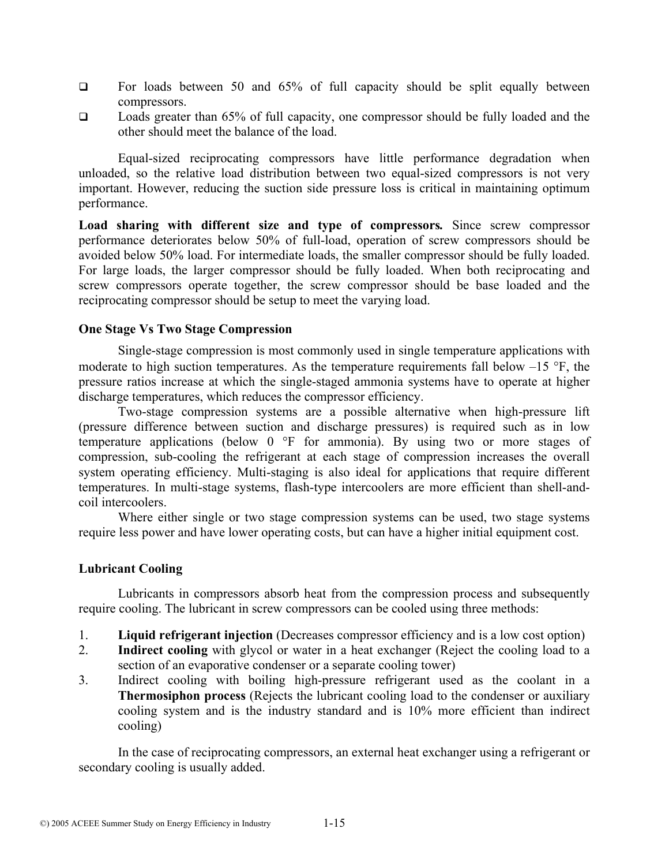- $\Box$  For loads between 50 and 65% of full capacity should be split equally between compressors.
- □ Loads greater than 65% of full capacity, one compressor should be fully loaded and the other should meet the balance of the load.

Equal-sized reciprocating compressors have little performance degradation when unloaded, so the relative load distribution between two equal-sized compressors is not very important. However, reducing the suction side pressure loss is critical in maintaining optimum performance.

**Load sharing with different size and type of compressors***.* Since screw compressor performance deteriorates below 50% of full-load, operation of screw compressors should be avoided below 50% load. For intermediate loads, the smaller compressor should be fully loaded. For large loads, the larger compressor should be fully loaded. When both reciprocating and screw compressors operate together, the screw compressor should be base loaded and the reciprocating compressor should be setup to meet the varying load.

### **One Stage Vs Two Stage Compression**

Single-stage compression is most commonly used in single temperature applications with moderate to high suction temperatures. As the temperature requirements fall below  $-15$  °F, the pressure ratios increase at which the single-staged ammonia systems have to operate at higher discharge temperatures, which reduces the compressor efficiency.

Two-stage compression systems are a possible alternative when high-pressure lift (pressure difference between suction and discharge pressures) is required such as in low temperature applications (below 0 °F for ammonia). By using two or more stages of compression, sub-cooling the refrigerant at each stage of compression increases the overall system operating efficiency. Multi-staging is also ideal for applications that require different temperatures. In multi-stage systems, flash-type intercoolers are more efficient than shell-andcoil intercoolers.

Where either single or two stage compression systems can be used, two stage systems require less power and have lower operating costs, but can have a higher initial equipment cost.

### **Lubricant Cooling**

Lubricants in compressors absorb heat from the compression process and subsequently require cooling. The lubricant in screw compressors can be cooled using three methods:

- 1. **Liquid refrigerant injection** (Decreases compressor efficiency and is a low cost option)
- 2. **Indirect cooling** with glycol or water in a heat exchanger (Reject the cooling load to a section of an evaporative condenser or a separate cooling tower)
- 3. Indirect cooling with boiling high-pressure refrigerant used as the coolant in a **Thermosiphon process** (Rejects the lubricant cooling load to the condenser or auxiliary cooling system and is the industry standard and is 10% more efficient than indirect cooling)

In the case of reciprocating compressors, an external heat exchanger using a refrigerant or secondary cooling is usually added.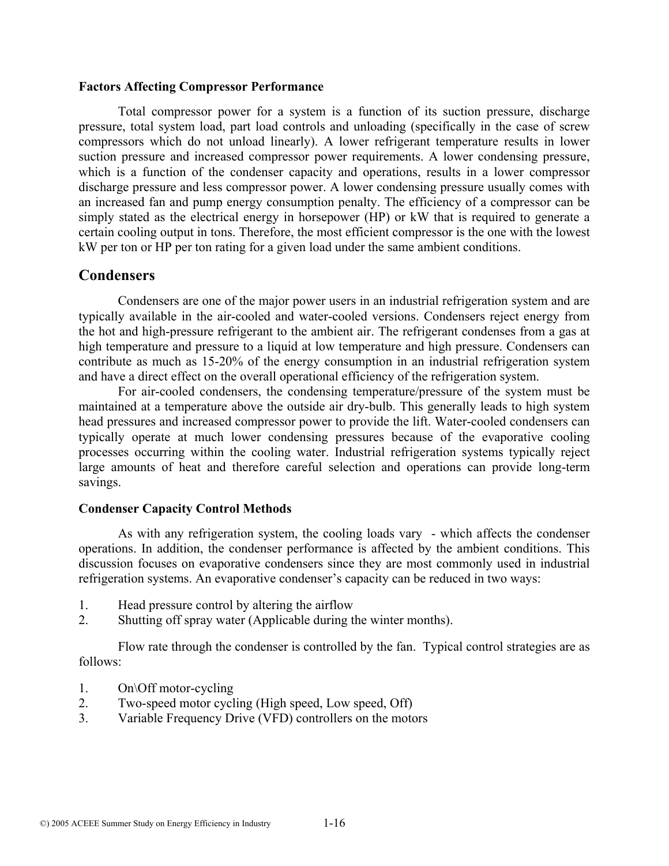#### **Factors Affecting Compressor Performance**

Total compressor power for a system is a function of its suction pressure, discharge pressure, total system load, part load controls and unloading (specifically in the case of screw compressors which do not unload linearly). A lower refrigerant temperature results in lower suction pressure and increased compressor power requirements. A lower condensing pressure, which is a function of the condenser capacity and operations, results in a lower compressor discharge pressure and less compressor power. A lower condensing pressure usually comes with an increased fan and pump energy consumption penalty. The efficiency of a compressor can be simply stated as the electrical energy in horsepower (HP) or kW that is required to generate a certain cooling output in tons. Therefore, the most efficient compressor is the one with the lowest kW per ton or HP per ton rating for a given load under the same ambient conditions.

## **Condensers**

Condensers are one of the major power users in an industrial refrigeration system and are typically available in the air-cooled and water-cooled versions. Condensers reject energy from the hot and high-pressure refrigerant to the ambient air. The refrigerant condenses from a gas at high temperature and pressure to a liquid at low temperature and high pressure. Condensers can contribute as much as 15-20% of the energy consumption in an industrial refrigeration system and have a direct effect on the overall operational efficiency of the refrigeration system.

For air-cooled condensers, the condensing temperature/pressure of the system must be maintained at a temperature above the outside air dry-bulb. This generally leads to high system head pressures and increased compressor power to provide the lift. Water-cooled condensers can typically operate at much lower condensing pressures because of the evaporative cooling processes occurring within the cooling water. Industrial refrigeration systems typically reject large amounts of heat and therefore careful selection and operations can provide long-term savings.

#### **Condenser Capacity Control Methods**

As with any refrigeration system, the cooling loads vary - which affects the condenser operations. In addition, the condenser performance is affected by the ambient conditions. This discussion focuses on evaporative condensers since they are most commonly used in industrial refrigeration systems. An evaporative condenser's capacity can be reduced in two ways:

- 1. Head pressure control by altering the airflow
- 2. Shutting off spray water (Applicable during the winter months).

Flow rate through the condenser is controlled by the fan. Typical control strategies are as follows:

- 1. On\Off motor-cycling
- 2. Two-speed motor cycling (High speed, Low speed, Off)
- 3. Variable Frequency Drive (VFD) controllers on the motors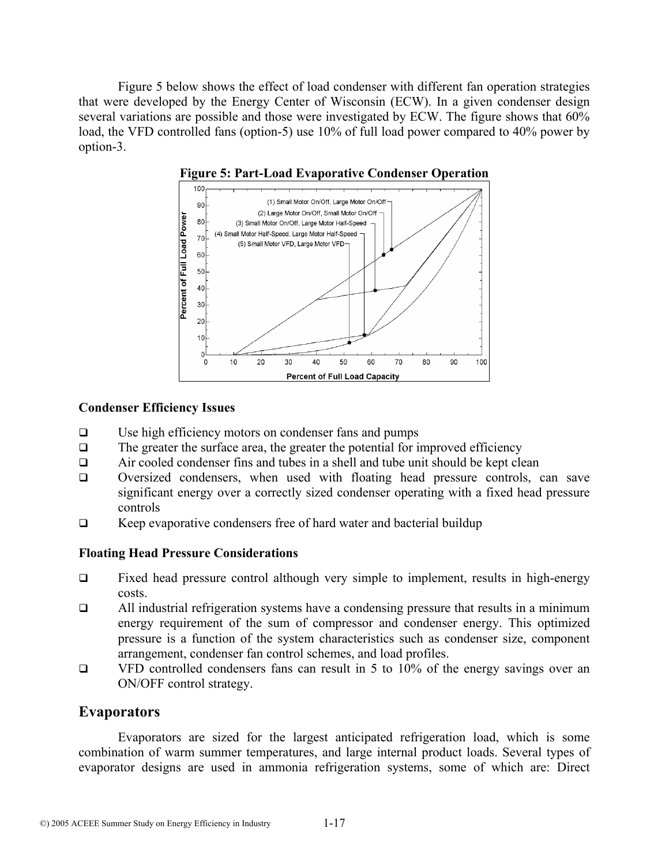Figure 5 below shows the effect of load condenser with different fan operation strategies that were developed by the Energy Center of Wisconsin (ECW). In a given condenser design several variations are possible and those were investigated by ECW. The figure shows that 60% load, the VFD controlled fans (option-5) use 10% of full load power compared to 40% power by option-3.





#### **Condenser Efficiency Issues**

- Use high efficiency motors on condenser fans and pumps
- $\Box$  The greater the surface area, the greater the potential for improved efficiency
- $\Box$  Air cooled condenser fins and tubes in a shell and tube unit should be kept clean
- Oversized condensers, when used with floating head pressure controls, can save significant energy over a correctly sized condenser operating with a fixed head pressure controls
- $\Box$  Keep evaporative condensers free of hard water and bacterial buildup

### **Floating Head Pressure Considerations**

- Fixed head pressure control although very simple to implement, results in high-energy costs.
- $\Box$  All industrial refrigeration systems have a condensing pressure that results in a minimum energy requirement of the sum of compressor and condenser energy. This optimized pressure is a function of the system characteristics such as condenser size, component arrangement, condenser fan control schemes, and load profiles.
- $\Box$  VFD controlled condensers fans can result in 5 to 10% of the energy savings over an ON/OFF control strategy.

## **Evaporators**

Evaporators are sized for the largest anticipated refrigeration load, which is some combination of warm summer temperatures, and large internal product loads. Several types of evaporator designs are used in ammonia refrigeration systems, some of which are: Direct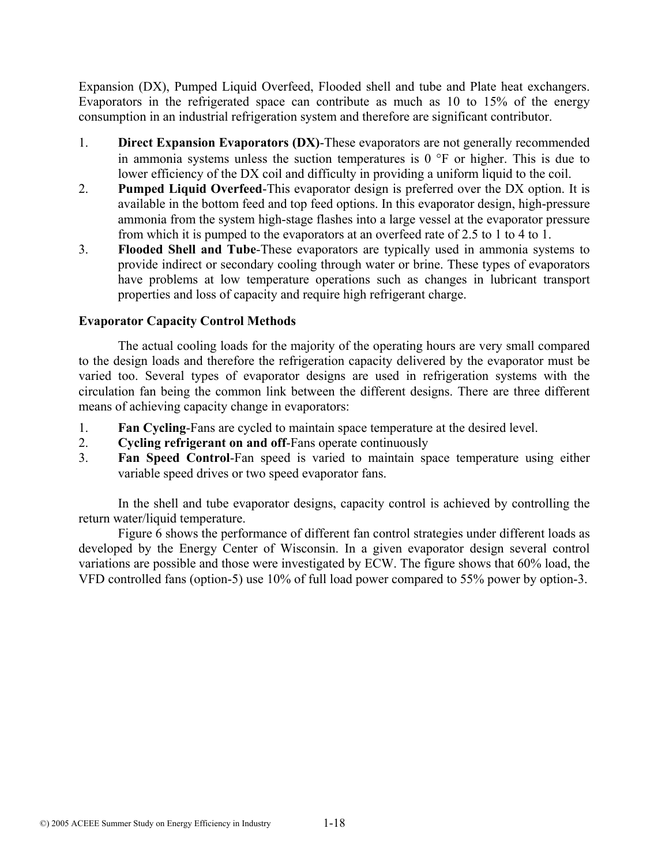Expansion (DX), Pumped Liquid Overfeed, Flooded shell and tube and Plate heat exchangers. Evaporators in the refrigerated space can contribute as much as 10 to 15% of the energy consumption in an industrial refrigeration system and therefore are significant contributor.

- 1. **Direct Expansion Evaporators (DX)**-These evaporators are not generally recommended in ammonia systems unless the suction temperatures is  $0<sup>o</sup>F$  or higher. This is due to lower efficiency of the DX coil and difficulty in providing a uniform liquid to the coil.
- 2. **Pumped Liquid Overfeed**-This evaporator design is preferred over the DX option. It is available in the bottom feed and top feed options. In this evaporator design, high-pressure ammonia from the system high-stage flashes into a large vessel at the evaporator pressure from which it is pumped to the evaporators at an overfeed rate of 2.5 to 1 to 4 to 1.
- 3. **Flooded Shell and Tube**-These evaporators are typically used in ammonia systems to provide indirect or secondary cooling through water or brine. These types of evaporators have problems at low temperature operations such as changes in lubricant transport properties and loss of capacity and require high refrigerant charge.

## **Evaporator Capacity Control Methods**

The actual cooling loads for the majority of the operating hours are very small compared to the design loads and therefore the refrigeration capacity delivered by the evaporator must be varied too. Several types of evaporator designs are used in refrigeration systems with the circulation fan being the common link between the different designs. There are three different means of achieving capacity change in evaporators:

- 1. **Fan Cycling**-Fans are cycled to maintain space temperature at the desired level.
- 2. **Cycling refrigerant on and off**-Fans operate continuously
- 3. **Fan Speed Control**-Fan speed is varied to maintain space temperature using either variable speed drives or two speed evaporator fans.

In the shell and tube evaporator designs, capacity control is achieved by controlling the return water/liquid temperature.

Figure 6 shows the performance of different fan control strategies under different loads as developed by the Energy Center of Wisconsin. In a given evaporator design several control variations are possible and those were investigated by ECW. The figure shows that 60% load, the VFD controlled fans (option-5) use 10% of full load power compared to 55% power by option-3.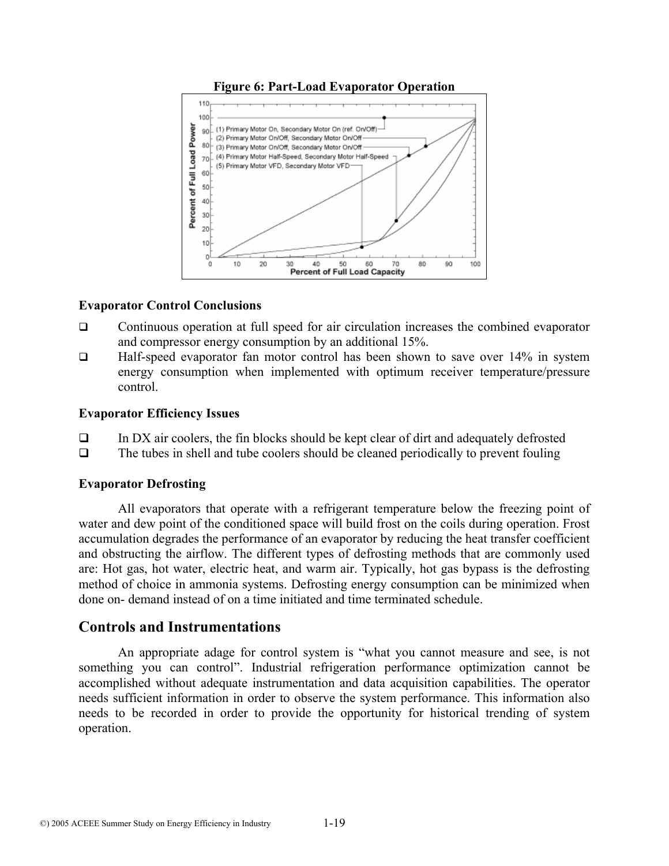



### **Evaporator Control Conclusions**

- Continuous operation at full speed for air circulation increases the combined evaporator and compressor energy consumption by an additional 15%.
- Half-speed evaporator fan motor control has been shown to save over 14% in system energy consumption when implemented with optimum receiver temperature/pressure control.

#### **Evaporator Efficiency Issues**

- $\Box$  In DX air coolers, the fin blocks should be kept clear of dirt and adequately defrosted
- $\Box$  The tubes in shell and tube coolers should be cleaned periodically to prevent fouling

### **Evaporator Defrosting**

All evaporators that operate with a refrigerant temperature below the freezing point of water and dew point of the conditioned space will build frost on the coils during operation. Frost accumulation degrades the performance of an evaporator by reducing the heat transfer coefficient and obstructing the airflow. The different types of defrosting methods that are commonly used are: Hot gas, hot water, electric heat, and warm air. Typically, hot gas bypass is the defrosting method of choice in ammonia systems. Defrosting energy consumption can be minimized when done on- demand instead of on a time initiated and time terminated schedule.

## **Controls and Instrumentations**

An appropriate adage for control system is "what you cannot measure and see, is not something you can control". Industrial refrigeration performance optimization cannot be accomplished without adequate instrumentation and data acquisition capabilities. The operator needs sufficient information in order to observe the system performance. This information also needs to be recorded in order to provide the opportunity for historical trending of system operation.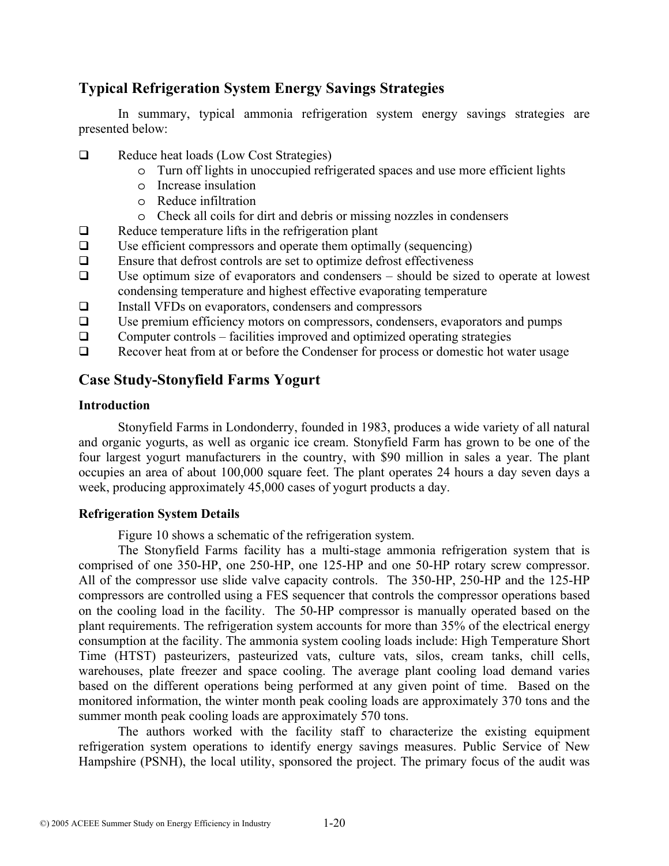# **Typical Refrigeration System Energy Savings Strategies**

In summary, typical ammonia refrigeration system energy savings strategies are presented below:

- Reduce heat loads (Low Cost Strategies)
	- o Turn off lights in unoccupied refrigerated spaces and use more efficient lights
	- o Increase insulation
	- o Reduce infiltration
	- o Check all coils for dirt and debris or missing nozzles in condensers
- $\Box$  Reduce temperature lifts in the refrigeration plant
- $\Box$  Use efficient compressors and operate them optimally (sequencing)
- $\Box$  Ensure that defrost controls are set to optimize defrost effectiveness
- $\Box$  Use optimum size of evaporators and condensers should be sized to operate at lowest condensing temperature and highest effective evaporating temperature
- Install VFDs on evaporators, condensers and compressors
- $\Box$  Use premium efficiency motors on compressors, condensers, evaporators and pumps
- $\Box$  Computer controls facilities improved and optimized operating strategies
- Recover heat from at or before the Condenser for process or domestic hot water usage

# **Case Study-Stonyfield Farms Yogurt**

## **Introduction**

Stonyfield Farms in Londonderry, founded in 1983, produces a wide variety of all natural and organic yogurts, as well as organic ice cream. Stonyfield Farm has grown to be one of the four largest yogurt manufacturers in the country, with \$90 million in sales a year. The plant occupies an area of about 100,000 square feet. The plant operates 24 hours a day seven days a week, producing approximately 45,000 cases of yogurt products a day.

### **Refrigeration System Details**

Figure 10 shows a schematic of the refrigeration system.

The Stonyfield Farms facility has a multi-stage ammonia refrigeration system that is comprised of one 350-HP, one 250-HP, one 125-HP and one 50-HP rotary screw compressor. All of the compressor use slide valve capacity controls. The 350-HP, 250-HP and the 125-HP compressors are controlled using a FES sequencer that controls the compressor operations based on the cooling load in the facility. The 50-HP compressor is manually operated based on the plant requirements. The refrigeration system accounts for more than 35% of the electrical energy consumption at the facility. The ammonia system cooling loads include: High Temperature Short Time (HTST) pasteurizers, pasteurized vats, culture vats, silos, cream tanks, chill cells, warehouses, plate freezer and space cooling. The average plant cooling load demand varies based on the different operations being performed at any given point of time. Based on the monitored information, the winter month peak cooling loads are approximately 370 tons and the summer month peak cooling loads are approximately 570 tons.

The authors worked with the facility staff to characterize the existing equipment refrigeration system operations to identify energy savings measures. Public Service of New Hampshire (PSNH), the local utility, sponsored the project. The primary focus of the audit was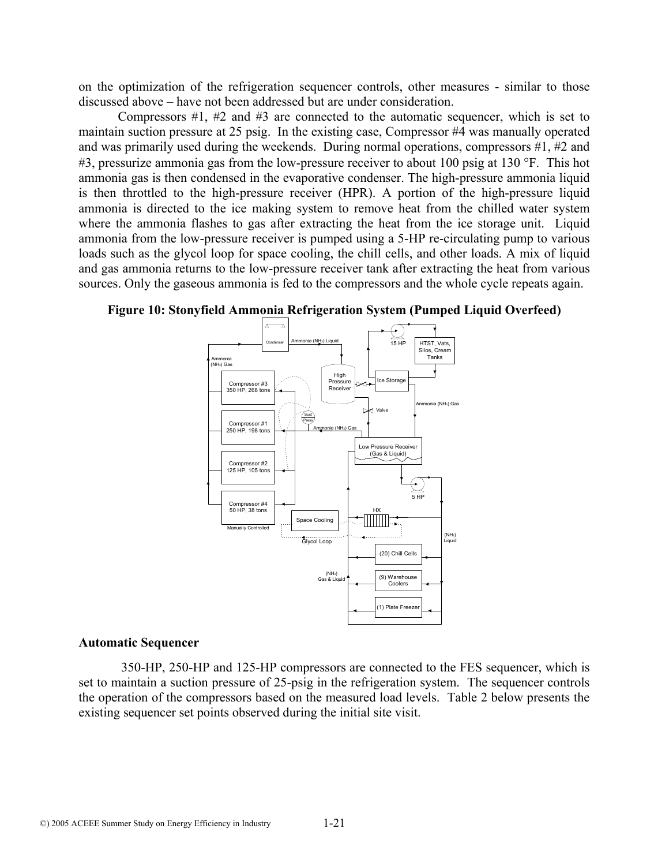on the optimization of the refrigeration sequencer controls, other measures - similar to those discussed above – have not been addressed but are under consideration.

Compressors #1, #2 and #3 are connected to the automatic sequencer, which is set to maintain suction pressure at 25 psig. In the existing case, Compressor #4 was manually operated and was primarily used during the weekends. During normal operations, compressors #1, #2 and #3, pressurize ammonia gas from the low-pressure receiver to about 100 psig at 130 °F. This hot ammonia gas is then condensed in the evaporative condenser. The high-pressure ammonia liquid is then throttled to the high-pressure receiver (HPR). A portion of the high-pressure liquid ammonia is directed to the ice making system to remove heat from the chilled water system where the ammonia flashes to gas after extracting the heat from the ice storage unit. Liquid ammonia from the low-pressure receiver is pumped using a 5-HP re-circulating pump to various loads such as the glycol loop for space cooling, the chill cells, and other loads. A mix of liquid and gas ammonia returns to the low-pressure receiver tank after extracting the heat from various sources. Only the gaseous ammonia is fed to the compressors and the whole cycle repeats again.





#### **Automatic Sequencer**

 350-HP, 250-HP and 125-HP compressors are connected to the FES sequencer, which is set to maintain a suction pressure of 25-psig in the refrigeration system. The sequencer controls the operation of the compressors based on the measured load levels. Table 2 below presents the existing sequencer set points observed during the initial site visit.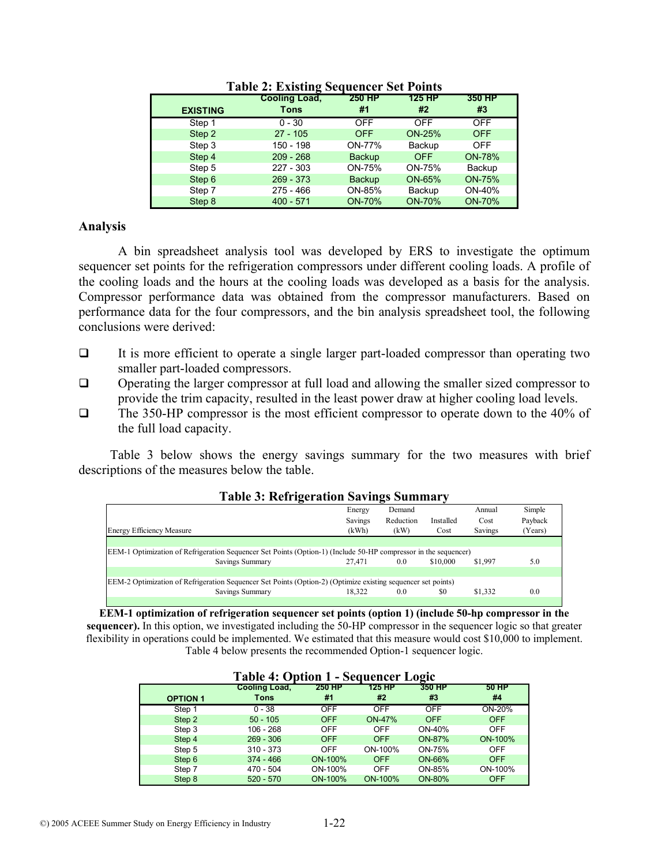|                 | Cooling Load, | <b>250 HP</b> | <b>125 HP</b> | 350 HP        |
|-----------------|---------------|---------------|---------------|---------------|
| <b>EXISTING</b> | <b>Tons</b>   | #1            | #2            | #3            |
| Step 1          | $0 - 30$      | <b>OFF</b>    | <b>OFF</b>    | <b>OFF</b>    |
| Step 2          | $27 - 105$    | <b>OFF</b>    | <b>ON-25%</b> | <b>OFF</b>    |
| Step 3          | 150 - 198     | ON-77%        | Backup        | <b>OFF</b>    |
| Step 4          | $209 - 268$   | <b>Backup</b> | <b>OFF</b>    | <b>ON-78%</b> |
| Step 5          | $227 - 303$   | ON-75%        | ON-75%        | Backup        |
| Step 6          | $269 - 373$   | <b>Backup</b> | ON-65%        | <b>ON-75%</b> |
| Step 7          | $275 - 466$   | ON-85%        | Backup        | ON-40%        |
| Step 8          | $400 - 571$   | <b>ON-70%</b> | <b>ON-70%</b> | <b>ON-70%</b> |

**Table 2: Existing Sequencer Set Points** 

#### **Analysis**

A bin spreadsheet analysis tool was developed by ERS to investigate the optimum sequencer set points for the refrigeration compressors under different cooling loads. A profile of the cooling loads and the hours at the cooling loads was developed as a basis for the analysis. Compressor performance data was obtained from the compressor manufacturers. Based on performance data for the four compressors, and the bin analysis spreadsheet tool, the following conclusions were derived:

- $\Box$  It is more efficient to operate a single larger part-loaded compressor than operating two smaller part-loaded compressors.
- Operating the larger compressor at full load and allowing the smaller sized compressor to provide the trim capacity, resulted in the least power draw at higher cooling load levels.
- The 350-HP compressor is the most efficient compressor to operate down to the 40% of the full load capacity.

Table 3 below shows the energy savings summary for the two measures with brief descriptions of the measures below the table.

| Tabit 9. INITIZM ation Savings Summary                                                                          |         |           |           |         |         |  |
|-----------------------------------------------------------------------------------------------------------------|---------|-----------|-----------|---------|---------|--|
|                                                                                                                 | Energy  | Demand    |           | Annual  | Simple  |  |
|                                                                                                                 | Savings | Reduction | Installed | Cost    | Payback |  |
| <b>Energy Efficiency Measure</b>                                                                                | (kWh)   | (kW)      | Cost      | Savings | (Years) |  |
|                                                                                                                 |         |           |           |         |         |  |
| EEM-1 Optimization of Refrigeration Sequencer Set Points (Option-1) (Include 50-HP compressor in the sequencer) |         |           |           |         |         |  |
| Savings Summary                                                                                                 | 27.471  | 0.0       | \$10,000  | \$1,997 | 5.0     |  |
|                                                                                                                 |         |           |           |         |         |  |
| EEM-2 Optimization of Refrigeration Sequencer Set Points (Option-2) (Optimize existing sequencer set points)    |         |           |           |         |         |  |
| Savings Summary                                                                                                 | 18.322  | 0.0       | \$0       | \$1,332 | 0.0     |  |
|                                                                                                                 |         |           |           |         |         |  |

## **Table 3: Refrigeration Savings Summary**

**EEM-1 optimization of refrigeration sequencer set points (option 1) (include 50-hp compressor in the sequencer).** In this option, we investigated including the 50-HP compressor in the sequencer logic so that greater flexibility in operations could be implemented. We estimated that this measure would cost \$10,000 to implement. Table 4 below presents the recommended Option-1 sequencer logic.

| <b>Table 4: Option 1 - Sequencer Logic</b> |                      |               |               |            |            |
|--------------------------------------------|----------------------|---------------|---------------|------------|------------|
|                                            | <b>Cooling Load,</b> | <b>250 HP</b> | 125 HP        | 350 HP     | 50 HP      |
| <b>OPTION 1</b>                            | Tons                 | #1            | #2            | #3         | #4         |
| Step 1                                     | $0 - 38$             | <b>OFF</b>    | <b>OFF</b>    | <b>OFF</b> | ON-20%     |
| Step 2                                     | $50 - 105$           | <b>OFF</b>    | <b>ON-47%</b> | <b>OFF</b> | <b>OFF</b> |
| Step 3                                     | $106 - 268$          | <b>OFF</b>    | OFF           | ON-40%     | <b>OFF</b> |
| Step 4                                     | $269 - 306$          | <b>OFF</b>    | <b>OFF</b>    | ON-87%     | ON-100%    |
| Step 5                                     | $310 - 373$          | <b>OFF</b>    | ON-100%       | ON-75%     | <b>OFF</b> |
| Step 6                                     | $374 - 466$          | ON-100%       | <b>OFF</b>    | ON-66%     | <b>OFF</b> |
| Step 7                                     | 470 - 504            | ON-100%       | <b>OFF</b>    | ON-85%     | ON-100%    |
| Step 8                                     | $520 - 570$          | ON-100%       | ON-100%       | ON-80%     | <b>OFF</b> |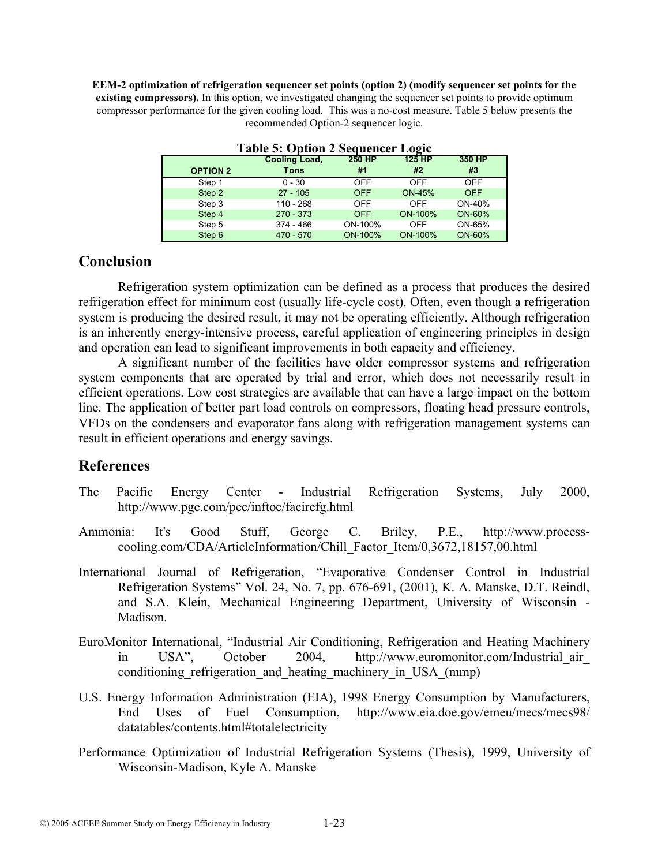**EEM-2 optimization of refrigeration sequencer set points (option 2) (modify sequencer set points for the existing compressors).** In this option, we investigated changing the sequencer set points to provide optimum compressor performance for the given cooling load. This was a no-cost measure. Table 5 below presents the recommended Option-2 sequencer logic.

| $-1$            |               |               |               |            |  |  |
|-----------------|---------------|---------------|---------------|------------|--|--|
|                 | Cooling Load, | <b>250 HP</b> | 125 HP        | 350 HP     |  |  |
| <b>OPTION 2</b> | Tons          | #1            | #2            | #3         |  |  |
| Step 1          | $0 - 30$      | <b>OFF</b>    | <b>OFF</b>    | <b>OFF</b> |  |  |
| Step 2          | $27 - 105$    | <b>OFF</b>    | <b>ON-45%</b> | <b>OFF</b> |  |  |
| Step 3          | $110 - 268$   | <b>OFF</b>    | OFF           | ON-40%     |  |  |
| Step 4          | $270 - 373$   | <b>OFF</b>    | ON-100%       | ON-60%     |  |  |
| Step 5          | $374 - 466$   | ON-100%       | OFF           | ON-65%     |  |  |
| Step 6          | $470 - 570$   | ON-100%       | ON-100%       | ON-60%     |  |  |

**Table 5: Option 2 Sequencer Logic** 

## **Conclusion**

Refrigeration system optimization can be defined as a process that produces the desired refrigeration effect for minimum cost (usually life-cycle cost). Often, even though a refrigeration system is producing the desired result, it may not be operating efficiently. Although refrigeration is an inherently energy-intensive process, careful application of engineering principles in design and operation can lead to significant improvements in both capacity and efficiency.

A significant number of the facilities have older compressor systems and refrigeration system components that are operated by trial and error, which does not necessarily result in efficient operations. Low cost strategies are available that can have a large impact on the bottom line. The application of better part load controls on compressors, floating head pressure controls, VFDs on the condensers and evaporator fans along with refrigeration management systems can result in efficient operations and energy savings.

## **References**

- The Pacific Energy Center Industrial Refrigeration Systems, July 2000, http://www.pge.com/pec/inftoc/facirefg.html
- Ammonia: It's Good Stuff, George C. Briley, P.E., http://www.processcooling.com/CDA/ArticleInformation/Chill\_Factor\_Item/0,3672,18157,00.html
- International Journal of Refrigeration, "Evaporative Condenser Control in Industrial Refrigeration Systems" Vol. 24, No. 7, pp. 676-691, (2001), K. A. Manske, D.T. Reindl, and S.A. Klein, Mechanical Engineering Department, University of Wisconsin - Madison.
- EuroMonitor International, "Industrial Air Conditioning, Refrigeration and Heating Machinery in USA", October 2004, http://www.euromonitor.com/Industrial\_air\_ conditioning refrigeration and heating machinery in USA (mmp)
- U.S. Energy Information Administration (EIA), 1998 Energy Consumption by Manufacturers, End Uses of Fuel Consumption, http://www.eia.doe.gov/emeu/mecs/mecs98/ datatables/contents.html#totalelectricity
- Performance Optimization of Industrial Refrigeration Systems (Thesis), 1999, University of Wisconsin-Madison, Kyle A. Manske